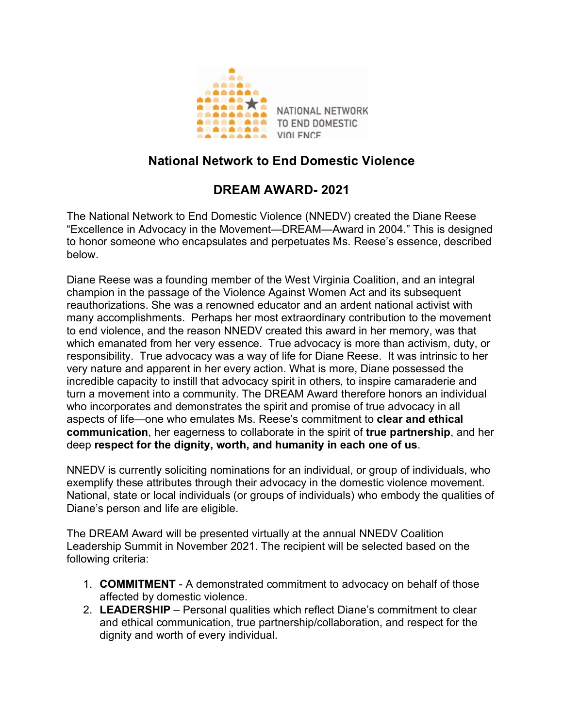

## **National Network to End Domestic Violence**

## **DREAM AWARD- 2021**

The National Network to End Domestic Violence (NNEDV) created the Diane Reese "Excellence in Advocacy in the Movement—DREAM—Award in 2004." This is designed to honor someone who encapsulates and perpetuates Ms. Reese's essence, described below.

Diane Reese was a founding member of the West Virginia Coalition, and an integral champion in the passage of the Violence Against Women Act and its subsequent reauthorizations. She was a renowned educator and an ardent national activist with many accomplishments. Perhaps her most extraordinary contribution to the movement to end violence, and the reason NNEDV created this award in her memory, was that which emanated from her very essence. True advocacy is more than activism, duty, or responsibility. True advocacy was a way of life for Diane Reese. It was intrinsic to her very nature and apparent in her every action. What is more, Diane possessed the incredible capacity to instill that advocacy spirit in others, to inspire camaraderie and turn a movement into a community. The DREAM Award therefore honors an individual who incorporates and demonstrates the spirit and promise of true advocacy in all aspects of life—one who emulates Ms. Reese's commitment to **clear and ethical communication**, her eagerness to collaborate in the spirit of **true partnership**, and her deep **respect for the dignity, worth, and humanity in each one of us**.

NNEDV is currently soliciting nominations for an individual, or group of individuals, who exemplify these attributes through their advocacy in the domestic violence movement. National, state or local individuals (or groups of individuals) who embody the qualities of Diane's person and life are eligible.

The DREAM Award will be presented virtually at the annual NNEDV Coalition Leadership Summit in November 2021. The recipient will be selected based on the following criteria:

- 1. **COMMITMENT** A demonstrated commitment to advocacy on behalf of those affected by domestic violence.
- 2. **LEADERSHIP** Personal qualities which reflect Diane's commitment to clear and ethical communication, true partnership/collaboration, and respect for the dignity and worth of every individual.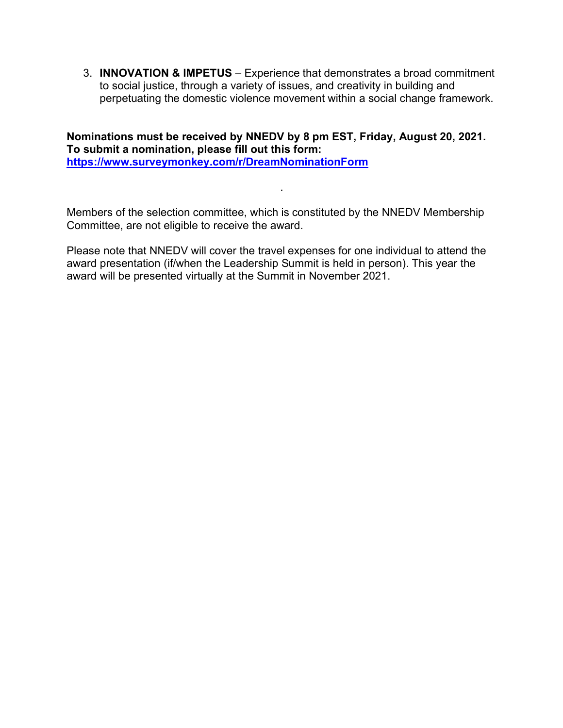3. **INNOVATION & IMPETUS** – Experience that demonstrates a broad commitment to social justice, through a variety of issues, and creativity in building and perpetuating the domestic violence movement within a social change framework.

**Nominations must be received by NNEDV by 8 pm EST, Friday, August 20, 2021. To submit a nomination, please fill out this form: https://www.surveymonkey.com/r/DreamNominationForm**

Members of the selection committee, which is constituted by the NNEDV Membership Committee, are not eligible to receive the award.

.

Please note that NNEDV will cover the travel expenses for one individual to attend the award presentation (if/when the Leadership Summit is held in person). This year the award will be presented virtually at the Summit in November 2021.